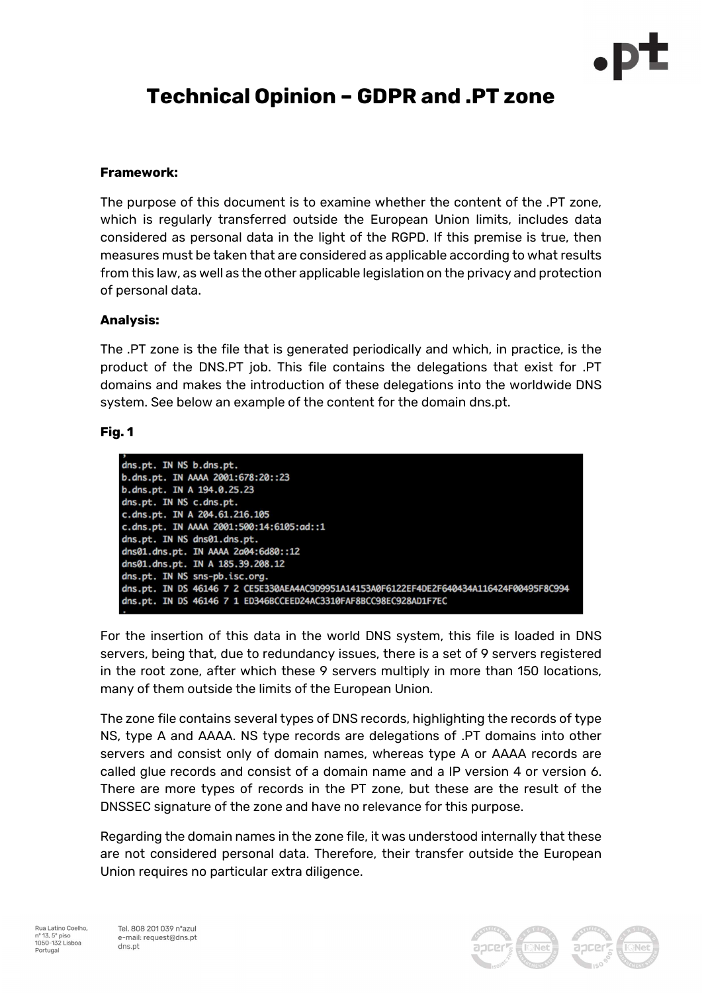

# Technical Opinion – GDPR and .PT zone

### Framework:

The purpose of this document is to examine whether the content of the .PT zone, which is regularly transferred outside the European Union limits, includes data considered as personal data in the light of the RGPD. If this premise is true, then measures must be taken that are considered as applicable according to what results from this law, as well as the other applicable legislation on the privacy and protection of personal data.

#### Analysis:

The .PT zone is the file that is generated periodically and which, in practice, is the product of the DNS.PT job. This file contains the delegations that exist for .PT domains and makes the introduction of these delegations into the worldwide DNS system. See below an example of the content for the domain dns.pt.

#### Fig. 1



For the insertion of this data in the world DNS system, this file is loaded in DNS servers, being that, due to redundancy issues, there is a set of 9 servers registered in the root zone, after which these 9 servers multiply in more than 150 locations, many of them outside the limits of the European Union.

The zone file contains several types of DNS records, highlighting the records of type NS, type A and AAAA. NS type records are delegations of .PT domains into other servers and consist only of domain names, whereas type A or AAAA records are called glue records and consist of a domain name and a IP version 4 or version 6. There are more types of records in the PT zone, but these are the result of the DNSSEC signature of the zone and have no relevance for this purpose.

Regarding the domain names in the zone file, it was understood internally that these are not considered personal data. Therefore, their transfer outside the European Union requires no particular extra diligence.

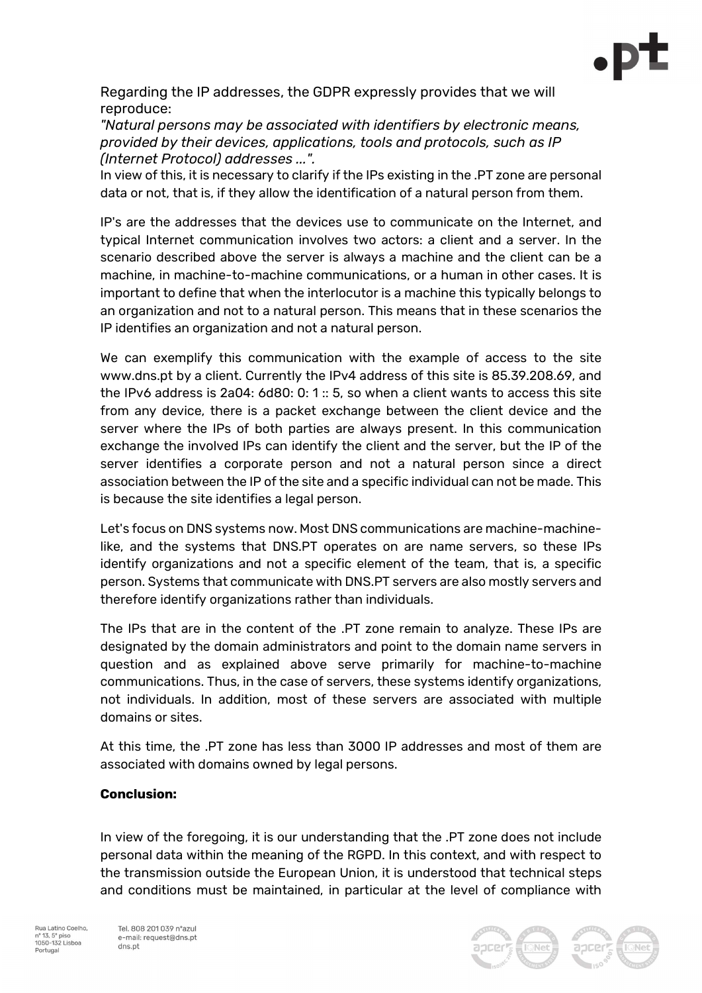

Regarding the IP addresses, the GDPR expressly provides that we will reproduce:

"Natural persons may be associated with identifiers by electronic means, provided by their devices, applications, tools and protocols, such as IP (Internet Protocol) addresses ...".

In view of this, it is necessary to clarify if the IPs existing in the .PT zone are personal data or not, that is, if they allow the identification of a natural person from them.

IP's are the addresses that the devices use to communicate on the Internet, and typical Internet communication involves two actors: a client and a server. In the scenario described above the server is always a machine and the client can be a machine, in machine-to-machine communications, or a human in other cases. It is important to define that when the interlocutor is a machine this typically belongs to an organization and not to a natural person. This means that in these scenarios the IP identifies an organization and not a natural person.

We can exemplify this communication with the example of access to the site www.dns.pt by a client. Currently the IPv4 address of this site is 85.39.208.69, and the IPv6 address is 2a04: 6d80: 0: 1 :: 5, so when a client wants to access this site from any device, there is a packet exchange between the client device and the server where the IPs of both parties are always present. In this communication exchange the involved IPs can identify the client and the server, but the IP of the server identifies a corporate person and not a natural person since a direct association between the IP of the site and a specific individual can not be made. This is because the site identifies a legal person.

Let's focus on DNS systems now. Most DNS communications are machine-machinelike, and the systems that DNS.PT operates on are name servers, so these IPs identify organizations and not a specific element of the team, that is, a specific person. Systems that communicate with DNS.PT servers are also mostly servers and therefore identify organizations rather than individuals.

The IPs that are in the content of the .PT zone remain to analyze. These IPs are designated by the domain administrators and point to the domain name servers in question and as explained above serve primarily for machine-to-machine communications. Thus, in the case of servers, these systems identify organizations, not individuals. In addition, most of these servers are associated with multiple domains or sites.

At this time, the .PT zone has less than 3000 IP addresses and most of them are associated with domains owned by legal persons.

## Conclusion:

In view of the foregoing, it is our understanding that the .PT zone does not include personal data within the meaning of the RGPD. In this context, and with respect to the transmission outside the European Union, it is understood that technical steps and conditions must be maintained, in particular at the level of compliance with